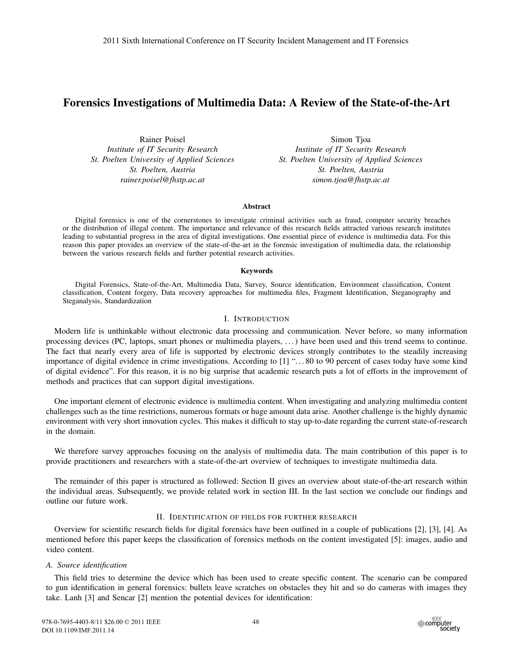# Forensics Investigations of Multimedia Data: A Review of the State-of-the-Art

Rainer Poisel *Institute of IT Security Research St. Poelten University of Applied Sciences St. Poelten, Austria rainer.poisel@fhstp.ac.at*

Simon Tjoa *Institute of IT Security Research St. Poelten University of Applied Sciences St. Poelten, Austria simon.tjoa@fhstp.ac.at*

#### Abstract

Digital forensics is one of the cornerstones to investigate criminal activities such as fraud, computer security breaches or the distribution of illegal content. The importance and relevance of this research fields attracted various research institutes leading to substantial progress in the area of digital investigations. One essential piece of evidence is multimedia data. For this reason this paper provides an overview of the state-of-the-art in the forensic investigation of multimedia data, the relationship between the various research fields and further potential research activities.

#### Keywords

Digital Forensics, State-of-the-Art, Multimedia Data, Survey, Source identification, Environment classification, Content classification, Content forgery, Data recovery approaches for multimedia files, Fragment Identification, Steganography and Steganalysis, Standardization

### I. INTRODUCTION

Modern life is unthinkable without electronic data processing and communication. Never before, so many information processing devices (PC, laptops, smart phones or multimedia players, . . . ) have been used and this trend seems to continue. The fact that nearly every area of life is supported by electronic devices strongly contributes to the steadily increasing importance of digital evidence in crime investigations. According to [1] ". . . 80 to 90 percent of cases today have some kind of digital evidence". For this reason, it is no big surprise that academic research puts a lot of efforts in the improvement of methods and practices that can support digital investigations.

One important element of electronic evidence is multimedia content. When investigating and analyzing multimedia content challenges such as the time restrictions, numerous formats or huge amount data arise. Another challenge is the highly dynamic environment with very short innovation cycles. This makes it difficult to stay up-to-date regarding the current state-of-research in the domain.

We therefore survey approaches focusing on the analysis of multimedia data. The main contribution of this paper is to provide practitioners and researchers with a state-of-the-art overview of techniques to investigate multimedia data.

The remainder of this paper is structured as followed: Section II gives an overview about state-of-the-art research within the individual areas. Subsequently, we provide related work in section III. In the last section we conclude our findings and outline our future work.

# II. IDENTIFICATION OF FIELDS FOR FURTHER RESEARCH

Overview for scientific research fields for digital forensics have been outlined in a couple of publications [2], [3], [4]. As mentioned before this paper keeps the classification of forensics methods on the content investigated [5]: images, audio and video content.

# *A. Source identification*

This field tries to determine the device which has been used to create specific content. The scenario can be compared to gun identification in general forensics: bullets leave scratches on obstacles they hit and so do cameras with images they take. Lanh [3] and Sencar [2] mention the potential devices for identification: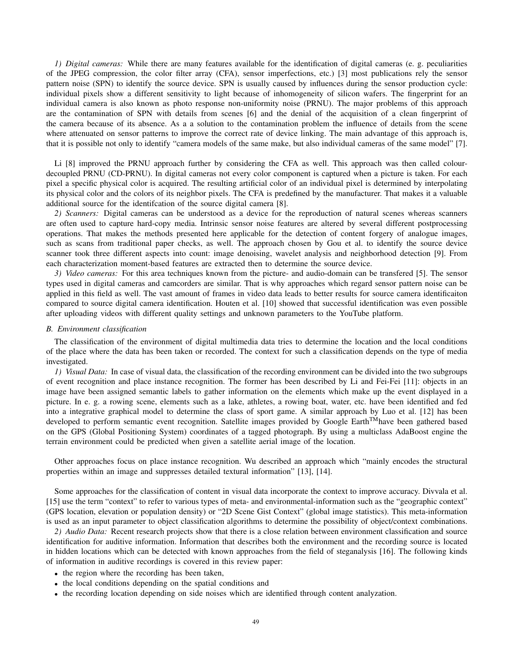*1) Digital cameras:* While there are many features available for the identification of digital cameras (e. g. peculiarities of the JPEG compression, the color filter array (CFA), sensor imperfections, etc.) [3] most publications rely the sensor pattern noise (SPN) to identify the source device. SPN is usually caused by influences during the sensor production cycle: individual pixels show a different sensitivity to light because of inhomogeneity of silicon wafers. The fingerprint for an individual camera is also known as photo response non-uniformity noise (PRNU). The major problems of this approach are the contamination of SPN with details from scenes [6] and the denial of the acquisition of a clean fingerprint of the camera because of its absence. As a a solution to the contamination problem the influence of details from the scene where attenuated on sensor patterns to improve the correct rate of device linking. The main advantage of this approach is, that it is possible not only to identify "camera models of the same make, but also individual cameras of the same model" [7].

Li [8] improved the PRNU approach further by considering the CFA as well. This approach was then called colourdecoupled PRNU (CD-PRNU). In digital cameras not every color component is captured when a picture is taken. For each pixel a specific physical color is acquired. The resulting artificial color of an individual pixel is determined by interpolating its physical color and the colors of its neighbor pixels. The CFA is predefined by the manufacturer. That makes it a valuable additional source for the identifcation of the source digital camera [8].

*2) Scanners:* Digital cameras can be understood as a device for the reproduction of natural scenes whereas scanners are often used to capture hard-copy media. Intrinsic sensor noise features are altered by several different postprocessing operations. That makes the methods presented here applicable for the detection of content forgery of analogue images, such as scans from traditional paper checks, as well. The approach chosen by Gou et al. to identify the source device scanner took three different aspects into count: image denoising, wavelet analysis and neighborhood detection [9]. From each characterization moment-based features are extracted then to determine the source device.

*3) Video cameras:* For this area techniques known from the picture- and audio-domain can be transfered [5]. The sensor types used in digital cameras and camcorders are similar. That is why approaches which regard sensor pattern noise can be applied in this field as well. The vast amount of frames in video data leads to better results for source camera identificaiton compared to source digital camera identification. Houten et al. [10] showed that successful identification was even possible after uploading videos with different quality settings and unknown parameters to the YouTube platform.

#### *B. Environment classification*

The classification of the environment of digital multimedia data tries to determine the location and the local conditions of the place where the data has been taken or recorded. The context for such a classification depends on the type of media investigated.

*1) Visual Data:* In case of visual data, the classification of the recording environment can be divided into the two subgroups of event recognition and place instance recognition. The former has been described by Li and Fei-Fei [11]: objects in an image have been assigned semantic labels to gather information on the elements which make up the event displayed in a picture. In e. g. a rowing scene, elements such as a lake, athletes, a rowing boat, water, etc. have been identified and fed into a integrative graphical model to determine the class of sport game. A similar approach by Luo et al. [12] has been developed to perform semantic event recognition. Satellite images provided by Google Earth<sup>TM</sup>have been gathered based on the GPS (Global Positioning System) coordinates of a tagged photograph. By using a multiclass AdaBoost engine the terrain environment could be predicted when given a satellite aerial image of the location.

Other approaches focus on place instance recognition. Wu described an approach which "mainly encodes the structural properties within an image and suppresses detailed textural information" [13], [14].

Some approaches for the classification of content in visual data incorporate the context to improve accuracy. Divvala et al. [15] use the term "context" to refer to various types of meta- and environmental-information such as the "geographic context" (GPS location, elevation or population density) or "2D Scene Gist Context" (global image statistics). This meta-information is used as an input parameter to object classification algorithms to determine the possibility of object/context combinations.

*2) Audio Data:* Recent research projects show that there is a close relation between environment classification and source identification for auditive information. Information that describes both the environment and the recording source is located in hidden locations which can be detected with known approaches from the field of steganalysis [16]. The following kinds of information in auditive recordings is covered in this review paper:

- the region where the recording has been taken,
- the local conditions depending on the spatial conditions and
- the recording location depending on side noises which are identified through content analyzation.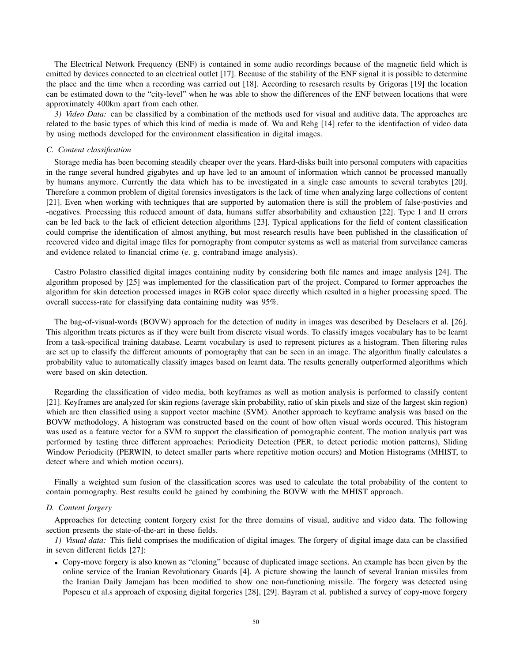The Electrical Network Frequency (ENF) is contained in some audio recordings because of the magnetic field which is emitted by devices connected to an electrical outlet [17]. Because of the stability of the ENF signal it is possible to determine the place and the time when a recording was carried out [18]. According to resesarch results by Grigoras [19] the location can be estimated down to the "city-level" when he was able to show the differences of the ENF between locations that were approximately 400km apart from each other.

*3) Video Data:* can be classified by a combination of the methods used for visual and auditive data. The approaches are related to the basic types of which this kind of media is made of. Wu and Rehg [14] refer to the identifaction of video data by using methods developed for the environment classification in digital images.

### *C. Content classification*

Storage media has been becoming steadily cheaper over the years. Hard-disks built into personal computers with capacities in the range several hundred gigabytes and up have led to an amount of information which cannot be processed manually by humans anymore. Currently the data which has to be investigated in a single case amounts to several terabytes [20]. Therefore a common problem of digital forensics investigators is the lack of time when analyzing large collections of content [21]. Even when working with techniques that are supported by automation there is still the problem of false-postivies and -negatives. Processing this reduced amount of data, humans suffer absorbability and exhaustion [22]. Type I and II errors can be led back to the lack of efficient detection algorithms [23]. Typical applications for the field of content classification could comprise the identification of almost anything, but most research results have been published in the classification of recovered video and digital image files for pornography from computer systems as well as material from surveilance cameras and evidence related to financial crime (e. g. contraband image analysis).

Castro Polastro classified digital images containing nudity by considering both file names and image analysis [24]. The algorithm proposed by [25] was implemented for the classification part of the project. Compared to former approaches the algorithm for skin detection processed images in RGB color space directly which resulted in a higher processing speed. The overall success-rate for classifying data containing nudity was 95%.

The bag-of-visual-words (BOVW) approach for the detection of nudity in images was described by Deselaers et al. [26]. This algorithm treats pictures as if they were built from discrete visual words. To classify images vocabulary has to be learnt from a task-specifical training database. Learnt vocabulary is used to represent pictures as a histogram. Then filtering rules are set up to classify the different amounts of pornography that can be seen in an image. The algorithm finally calculates a probability value to automatically classify images based on learnt data. The results generally outperformed algorithms which were based on skin detection.

Regarding the classification of video media, both keyframes as well as motion analysis is performed to classify content [21]. Keyframes are analyzed for skin regions (average skin probability, ratio of skin pixels and size of the largest skin region) which are then classified using a support vector machine (SVM). Another approach to keyframe analysis was based on the BOVW methodology. A histogram was constructed based on the count of how often visual words occured. This histogram was used as a feature vector for a SVM to support the classification of pornographic content. The motion analysis part was performed by testing three different approaches: Periodicity Detection (PER, to detect periodic motion patterns), Sliding Window Periodicity (PERWIN, to detect smaller parts where repetitive motion occurs) and Motion Histograms (MHIST, to detect where and which motion occurs).

Finally a weighted sum fusion of the classification scores was used to calculate the total probability of the content to contain pornography. Best results could be gained by combining the BOVW with the MHIST approach.

# *D. Content forgery*

Approaches for detecting content forgery exist for the three domains of visual, auditive and video data. The following section presents the state-of-the-art in these fields.

*1) Visual data:* This field comprises the modification of digital images. The forgery of digital image data can be classified in seven different fields [27]:

• Copy-move forgery is also known as "cloning" because of duplicated image sections. An example has been given by the online service of the Iranian Revolutionary Guards [4]. A picture showing the launch of several Iranian missiles from the Iranian Daily Jamejam has been modified to show one non-functioning missile. The forgery was detected using Popescu et al.s approach of exposing digital forgeries [28], [29]. Bayram et al. published a survey of copy-move forgery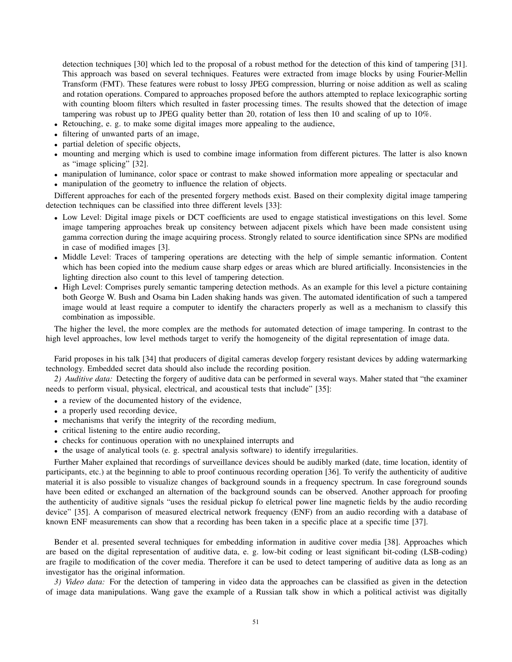detection techniques [30] which led to the proposal of a robust method for the detection of this kind of tampering [31]. This approach was based on several techniques. Features were extracted from image blocks by using Fourier-Mellin Transform (FMT). These features were robust to lossy JPEG compression, blurring or noise addition as well as scaling and rotation operations. Compared to approaches proposed before the authors attempted to replace lexicographic sorting with counting bloom filters which resulted in faster processing times. The results showed that the detection of image tampering was robust up to JPEG quality better than 20, rotation of less then 10 and scaling of up to 10%.

- Retouching, e. g. to make some digital images more appealing to the audience,
- filtering of unwanted parts of an image,
- partial deletion of specific objects,
- mounting and merging which is used to combine image information from different pictures. The latter is also known as "image splicing" [32].
- manipulation of luminance, color space or contrast to make showed information more appealing or spectacular and
- manipulation of the geometry to influence the relation of objects.

Different approaches for each of the presented forgery methods exist. Based on their complexity digital image tampering detection techniques can be classified into three different levels [33]:

- Low Level: Digital image pixels or DCT coefficients are used to engage statistical investigations on this level. Some image tampering approaches break up consitency between adjacent pixels which have been made consistent using gamma correction during the image acquiring process. Strongly related to source identification since SPNs are modified in case of modified images [3].
- Middle Level: Traces of tampering operations are detecting with the help of simple semantic information. Content which has been copied into the medium cause sharp edges or areas which are blured artificially. Inconsistencies in the lighting direction also count to this level of tampering detection.
- High Level: Comprises purely semantic tampering detection methods. As an example for this level a picture containing both George W. Bush and Osama bin Laden shaking hands was given. The automated identification of such a tampered image would at least require a computer to identify the characters properly as well as a mechanism to classify this combination as impossible.

The higher the level, the more complex are the methods for automated detection of image tampering. In contrast to the high level approaches, low level methods target to verify the homogeneity of the digital representation of image data.

Farid proposes in his talk [34] that producers of digital cameras develop forgery resistant devices by adding watermarking technology. Embedded secret data should also include the recording position.

*2) Auditive data:* Detecting the forgery of auditive data can be performed in several ways. Maher stated that "the examiner needs to perform visual, physical, electrical, and acoustical tests that include" [35]:

- a review of the documented history of the evidence,
- a properly used recording device,
- mechanisms that verify the integrity of the recording medium,
- critical listening to the entire audio recording,
- checks for continuous operation with no unexplained interrupts and
- the usage of analytical tools (e. g. spectral analysis software) to identify irregularities.

Further Maher explained that recordings of surveillance devices should be audibly marked (date, time location, identity of participants, etc.) at the beginning to able to proof continuous recording operation [36]. To verify the authenticity of auditive material it is also possible to visualize changes of background sounds in a frequency spectrum. In case foreground sounds have been edited or exchanged an alternation of the background sounds can be observed. Another approach for proofing the authenticity of auditive signals "uses the residual pickup fo eletrical power line magnetic fields by the audio recording device" [35]. A comparison of measured electrical network frequency (ENF) from an audio recording with a database of known ENF measurements can show that a recording has been taken in a specific place at a specific time [37].

Bender et al. presented several techniques for embedding information in auditive cover media [38]. Approaches which are based on the digital representation of auditive data, e. g. low-bit coding or least significant bit-coding (LSB-coding) are fragile to modification of the cover media. Therefore it can be used to detect tampering of auditive data as long as an investigator has the original information.

*3) Video data:* For the detection of tampering in video data the approaches can be classified as given in the detection of image data manipulations. Wang gave the example of a Russian talk show in which a political activist was digitally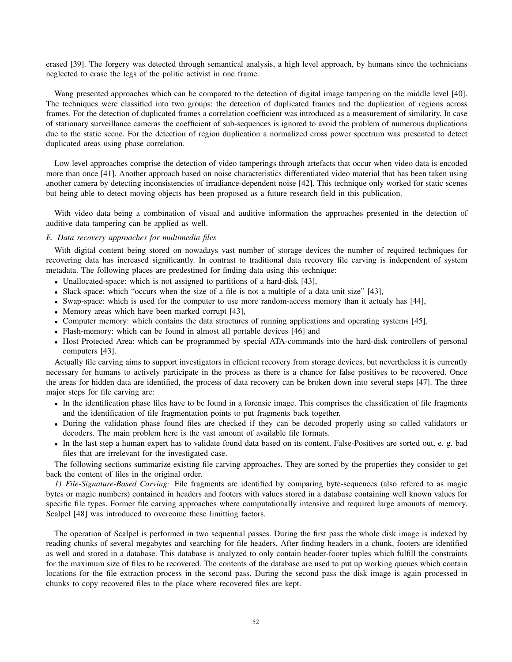erased [39]. The forgery was detected through semantical analysis, a high level approach, by humans since the technicians neglected to erase the legs of the politic activist in one frame.

Wang presented approaches which can be compared to the detection of digital image tampering on the middle level [40]. The techniques were classified into two groups: the detection of duplicated frames and the duplication of regions across frames. For the detection of duplicated frames a correlation coefficient was introduced as a measurement of similarity. In case of stationary surveillance cameras the coefficient of sub-sequences is ignored to avoid the problem of numerous duplications due to the static scene. For the detection of region duplication a normalized cross power spectrum was presented to detect duplicated areas using phase correlation.

Low level approaches comprise the detection of video tamperings through artefacts that occur when video data is encoded more than once [41]. Another approach based on noise characteristics differentiated video material that has been taken using another camera by detecting inconsistencies of irradiance-dependent noise [42]. This technique only worked for static scenes but being able to detect moving objects has been proposed as a future research field in this publication.

With video data being a combination of visual and auditive information the approaches presented in the detection of auditive data tampering can be applied as well.

### *E. Data recovery approaches for multimedia files*

With digital content being stored on nowadays vast number of storage devices the number of required techniques for recovering data has increased significantly. In contrast to traditional data recovery file carving is independent of system metadata. The following places are predestined for finding data using this technique:

- Unallocated-space: which is not assigned to partitions of a hard-disk [43],
- Slack-space: which "occurs when the size of a file is not a multiple of a data unit size" [43],
- Swap-space: which is used for the computer to use more random-access memory than it actualy has [44],
- Memory areas which have been marked corrupt [43],
- Computer memory: which contains the data structures of running applications and operating systems [45],
- Flash-memory: which can be found in almost all portable devices [46] and
- Host Protected Area: which can be programmed by special ATA-commands into the hard-disk controllers of personal computers [43].

Actually file carving aims to support investigators in efficient recovery from storage devices, but nevertheless it is currently necessary for humans to actively participate in the process as there is a chance for false positives to be recovered. Once the areas for hidden data are identified, the process of data recovery can be broken down into several steps [47]. The three major steps for file carving are:

- In the identification phase files have to be found in a forensic image. This comprises the classification of file fragments and the identification of file fragmentation points to put fragments back together.
- During the validation phase found files are checked if they can be decoded properly using so called validators or decoders. The main problem here is the vast amount of available file formats.
- In the last step a human expert has to validate found data based on its content. False-Positives are sorted out, e. g. bad files that are irrelevant for the investigated case.

The following sections summarize existing file carving approaches. They are sorted by the properties they consider to get back the content of files in the original order.

*1) File-Signature-Based Carving:* File fragments are identified by comparing byte-sequences (also refered to as magic bytes or magic numbers) contained in headers and footers with values stored in a database containing well known values for specific file types. Former file carving approaches where computationally intensive and required large amounts of memory. Scalpel [48] was introduced to overcome these limitting factors.

The operation of Scalpel is performed in two sequential passes. During the first pass the whole disk image is indexed by reading chunks of several megabytes and searching for file headers. After finding headers in a chunk, footers are identified as well and stored in a database. This database is analyzed to only contain header-footer tuples which fulfill the constraints for the maximum size of files to be recovered. The contents of the database are used to put up working queues which contain locations for the file extraction process in the second pass. During the second pass the disk image is again processed in chunks to copy recovered files to the place where recovered files are kept.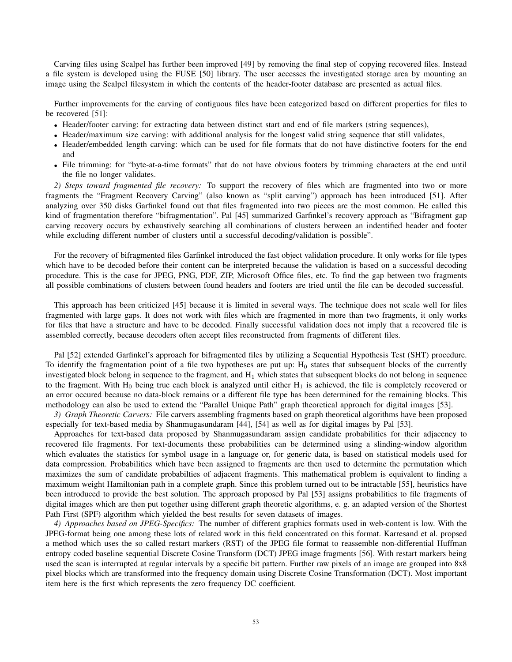Carving files using Scalpel has further been improved [49] by removing the final step of copying recovered files. Instead a file system is developed using the FUSE [50] library. The user accesses the investigated storage area by mounting an image using the Scalpel filesystem in which the contents of the header-footer database are presented as actual files.

Further improvements for the carving of contiguous files have been categorized based on different properties for files to be recovered [51]:

- Header/footer carving: for extracting data between distinct start and end of file markers (string sequences),
- Header/maximum size carving: with additional analysis for the longest valid string sequence that still validates,
- Header/embedded length carving: which can be used for file formats that do not have distinctive footers for the end and
- File trimming: for "byte-at-a-time formats" that do not have obvious footers by trimming characters at the end until the file no longer validates.

*2) Steps toward fragmented file recovery:* To support the recovery of files which are fragmented into two or more fragments the "Fragment Recovery Carving" (also known as "split carving") approach has been introduced [51]. After analyzing over 350 disks Garfinkel found out that files fragmented into two pieces are the most common. He called this kind of fragmentation therefore "bifragmentation". Pal [45] summarized Garfinkel's recovery approach as "Bifragment gap carving recovery occurs by exhaustively searching all combinations of clusters between an indentified header and footer while excluding different number of clusters until a successful decoding/validation is possible".

For the recovery of bifragmented files Garfinkel introduced the fast object validation procedure. It only works for file types which have to be decoded before their content can be interpreted because the validation is based on a successful decoding procedure. This is the case for JPEG, PNG, PDF, ZIP, Microsoft Office files, etc. To find the gap between two fragments all possible combinations of clusters between found headers and footers are tried until the file can be decoded successful.

This approach has been criticized [45] because it is limited in several ways. The technique does not scale well for files fragmented with large gaps. It does not work with files which are fragmented in more than two fragments, it only works for files that have a structure and have to be decoded. Finally successful validation does not imply that a recovered file is assembled correctly, because decoders often accept files reconstructed from fragments of different files.

Pal [52] extended Garfinkel's approach for bifragmented files by utilizing a Sequential Hypothesis Test (SHT) procedure. To identify the fragmentation point of a file two hypotheses are put up:  $H_0$  states that subsequent blocks of the currently investigated block belong in sequence to the fragment, and  $H_1$  which states that subsequent blocks do not belong in sequence to the fragment. With  $H_0$  being true each block is analyzed until either  $H_1$  is achieved, the file is completely recovered or an error occured because no data-block remains or a different file type has been determined for the remaining blocks. This methodology can also be used to extend the "Parallel Unique Path" graph theoretical approach for digital images [53].

*3) Graph Theoretic Carvers:* File carvers assembling fragments based on graph theoretical algorithms have been proposed especially for text-based media by Shanmugasundaram [44], [54] as well as for digital images by Pal [53].

Approaches for text-based data proposed by Shanmugasundaram assign candidate probabilities for their adjacency to recovered file fragments. For text-documents these probabilities can be determined using a slinding-window algorithm which evaluates the statistics for symbol usage in a language or, for generic data, is based on statistical models used for data compression. Probabilities which have been assigned to fragments are then used to determine the permutation which maximizes the sum of candidate probabilties of adjacent fragments. This mathematical problem is equivalent to finding a maximum weight Hamiltonian path in a complete graph. Since this problem turned out to be intractable [55], heuristics have been introduced to provide the best solution. The approach proposed by Pal [53] assigns probabilities to file fragments of digital images which are then put together using different graph theoretic algorithms, e. g. an adapted version of the Shortest Path First (SPF) algorithm which yielded the best results for seven datasets of images.

*4) Approaches based on JPEG-Specifics:* The number of different graphics formats used in web-content is low. With the JPEG-format being one among these lots of related work in this field concentrated on this format. Karresand et al. propsed a method which uses the so called restart markers (RST) of the JPEG file format to reassemble non-differential Huffman entropy coded baseline sequential Discrete Cosine Transform (DCT) JPEG image fragments [56]. With restart markers being used the scan is interrupted at regular intervals by a specific bit pattern. Further raw pixels of an image are grouped into 8x8 pixel blocks which are transformed into the frequency domain using Discrete Cosine Transformation (DCT). Most important item here is the first which represents the zero frequency DC coefficient.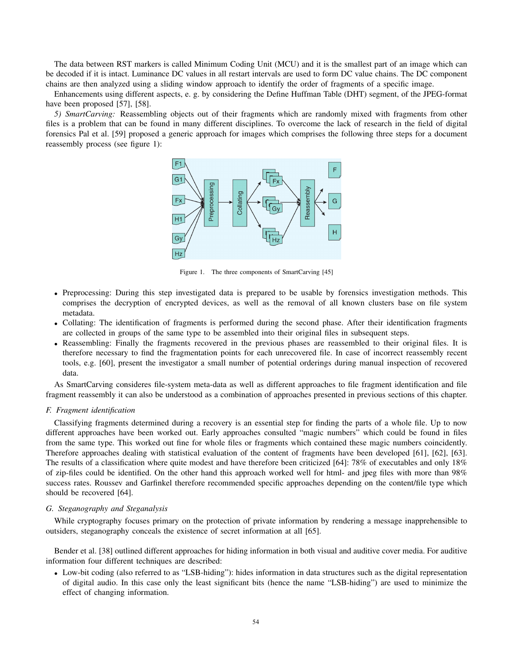The data between RST markers is called Minimum Coding Unit (MCU) and it is the smallest part of an image which can be decoded if it is intact. Luminance DC values in all restart intervals are used to form DC value chains. The DC component chains are then analyzed using a sliding window approach to identify the order of fragments of a specific image.

Enhancements using different aspects, e. g. by considering the Define Huffman Table (DHT) segment, of the JPEG-format have been proposed [57], [58].

*5) SmartCarving:* Reassembling objects out of their fragments which are randomly mixed with fragments from other files is a problem that can be found in many different disciplines. To overcome the lack of research in the field of digital forensics Pal et al. [59] proposed a generic approach for images which comprises the following three steps for a document reassembly process (see figure 1):



Figure 1. The three components of SmartCarving [45]

- Preprocessing: During this step investigated data is prepared to be usable by forensics investigation methods. This comprises the decryption of encrypted devices, as well as the removal of all known clusters base on file system metadata.
- Collating: The identification of fragments is performed during the second phase. After their identification fragments are collected in groups of the same type to be assembled into their original files in subsequent steps.
- Reassembling: Finally the fragments recovered in the previous phases are reassembled to their original files. It is therefore necessary to find the fragmentation points for each unrecovered file. In case of incorrect reassembly recent tools, e.g. [60], present the investigator a small number of potential orderings during manual inspection of recovered data.

As SmartCarving consideres file-system meta-data as well as different approaches to file fragment identification and file fragment reassembly it can also be understood as a combination of approaches presented in previous sections of this chapter.

### *F. Fragment identification*

Classifying fragments determined during a recovery is an essential step for finding the parts of a whole file. Up to now different approaches have been worked out. Early approaches consulted "magic numbers" which could be found in files from the same type. This worked out fine for whole files or fragments which contained these magic numbers coincidently. Therefore approaches dealing with statistical evaluation of the content of fragments have been developed [61], [62], [63]. The results of a classification where quite modest and have therefore been criticized [64]: 78% of executables and only 18% of zip-files could be identified. On the other hand this approach worked well for html- and jpeg files with more than 98% success rates. Roussev and Garfinkel therefore recommended specific approaches depending on the content/file type which should be recovered [64].

#### *G. Steganography and Steganalysis*

While cryptography focuses primary on the protection of private information by rendering a message inapprehensible to outsiders, steganography conceals the existence of secret information at all [65].

Bender et al. [38] outlined different approaches for hiding information in both visual and auditive cover media. For auditive information four different techniques are described:

• Low-bit coding (also referred to as "LSB-hiding"): hides information in data structures such as the digital representation of digital audio. In this case only the least significant bits (hence the name "LSB-hiding") are used to minimize the effect of changing information.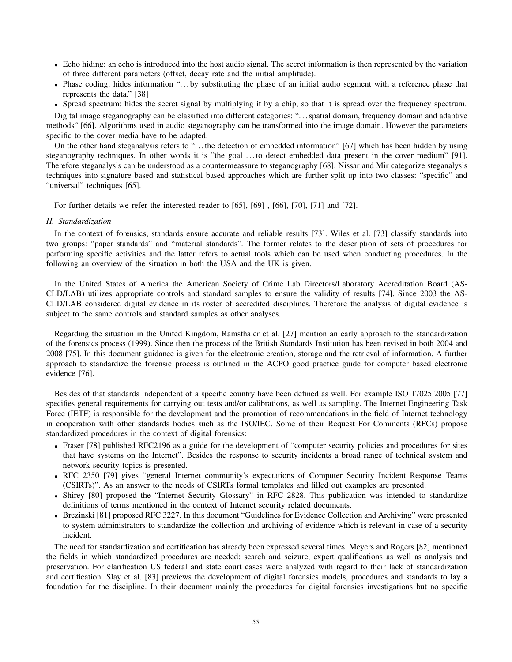- Echo hiding: an echo is introduced into the host audio signal. The secret information is then represented by the variation of three different parameters (offset, decay rate and the initial amplitude).
- Phase coding: hides information ". . . by substituting the phase of an initial audio segment with a reference phase that represents the data." [38]
- Spread spectrum: hides the secret signal by multiplying it by a chip, so that it is spread over the frequency spectrum.

Digital image steganography can be classified into different categories: ". . . spatial domain, frequency domain and adaptive methods" [66]. Algorithms used in audio steganography can be transformed into the image domain. However the parameters specific to the cover media have to be adapted.

On the other hand steganalysis refers to ". . . the detection of embedded information" [67] which has been hidden by using steganography techniques. In other words it is "the goal . . . to detect embedded data present in the cover medium" [91]. Therefore steganalysis can be understood as a countermeassure to steganography [68]. Nissar and Mir categorize steganalysis techniques into signature based and statistical based approaches which are further split up into two classes: "specific" and "universal" techniques [65].

For further details we refer the interested reader to [65], [69] , [66], [70], [71] and [72].

### *H. Standardization*

In the context of forensics, standards ensure accurate and reliable results [73]. Wiles et al. [73] classify standards into two groups: "paper standards" and "material standards". The former relates to the description of sets of procedures for performing specific activities and the latter refers to actual tools which can be used when conducting procedures. In the following an overview of the situation in both the USA and the UK is given.

In the United States of America the American Society of Crime Lab Directors/Laboratory Accreditation Board (AS-CLD/LAB) utilizes appropriate controls and standard samples to ensure the validity of results [74]. Since 2003 the AS-CLD/LAB considered digital evidence in its roster of accredited disciplines. Therefore the analysis of digital evidence is subject to the same controls and standard samples as other analyses.

Regarding the situation in the United Kingdom, Ramsthaler et al. [27] mention an early approach to the standardization of the forensics process (1999). Since then the process of the British Standards Institution has been revised in both 2004 and 2008 [75]. In this document guidance is given for the electronic creation, storage and the retrieval of information. A further approach to standardize the forensic process is outlined in the ACPO good practice guide for computer based electronic evidence [76].

Besides of that standards independent of a specific country have been defined as well. For example ISO 17025:2005 [77] specifies general requirements for carrying out tests and/or calibrations, as well as sampling. The Internet Engineering Task Force (IETF) is responsible for the development and the promotion of recommendations in the field of Internet technology in cooperation with other standards bodies such as the ISO/IEC. Some of their Request For Comments (RFCs) propose standardized procedures in the context of digital forensics:

- Fraser [78] published RFC2196 as a guide for the development of "computer security policies and procedures for sites that have systems on the Internet". Besides the response to security incidents a broad range of technical system and network security topics is presented.
- RFC 2350 [79] gives "general Internet community's expectations of Computer Security Incident Response Teams (CSIRTs)". As an answer to the needs of CSIRTs formal templates and filled out examples are presented.
- Shirey [80] proposed the "Internet Security Glossary" in RFC 2828. This publication was intended to standardize definitions of terms mentioned in the context of Internet security related documents.
- Brezinski [81] proposed RFC 3227. In this document "Guidelines for Evidence Collection and Archiving" were presented to system administrators to standardize the collection and archiving of evidence which is relevant in case of a security incident.

The need for standardization and certification has already been expressed several times. Meyers and Rogers [82] mentioned the fields in which standardized procedures are needed: search and seizure, expert qualifications as well as analysis and preservation. For clarification US federal and state court cases were analyzed with regard to their lack of standardization and certification. Slay et al. [83] previews the development of digital forensics models, procedures and standards to lay a foundation for the discipline. In their document mainly the procedures for digital forensics investigations but no specific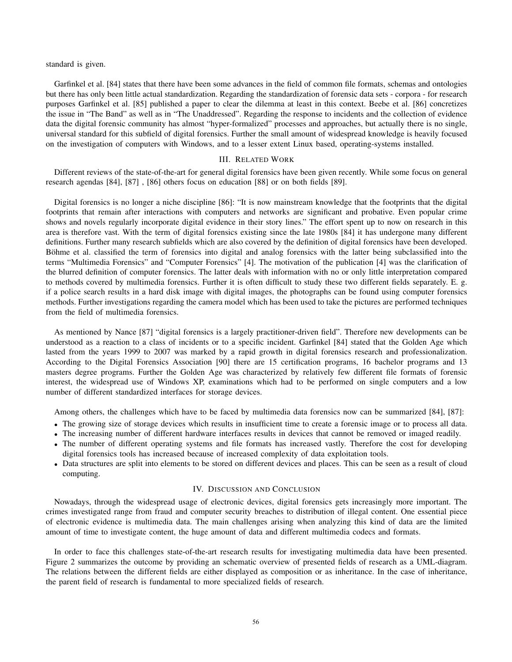standard is given.

Garfinkel et al. [84] states that there have been some advances in the field of common file formats, schemas and ontologies but there has only been little actual standardization. Regarding the standardization of forensic data sets - corpora - for research purposes Garfinkel et al. [85] published a paper to clear the dilemma at least in this context. Beebe et al. [86] concretizes the issue in "The Band" as well as in "The Unaddressed". Regarding the response to incidents and the collection of evidence data the digital forensic community has almost "hyper-formalized" processes and approaches, but actually there is no single, universal standard for this subfield of digital forensics. Further the small amount of widespread knowledge is heavily focused on the investigation of computers with Windows, and to a lesser extent Linux based, operating-systems installed.

# III. RELATED WORK

Different reviews of the state-of-the-art for general digital forensics have been given recently. While some focus on general research agendas [84], [87] , [86] others focus on education [88] or on both fields [89].

Digital forensics is no longer a niche discipline [86]: "It is now mainstream knowledge that the footprints that the digital footprints that remain after interactions with computers and networks are significant and probative. Even popular crime shows and novels regularly incorporate digital evidence in their story lines." The effort spent up to now on research in this area is therefore vast. With the term of digital forensics existing since the late 1980s [84] it has undergone many different definitions. Further many research subfields which are also covered by the definition of digital forensics have been developed. Böhme et al. classified the term of forensics into digital and analog forensics with the latter being subclassified into the terms "Multimedia Forensics" and "Computer Forensics" [4]. The motivation of the publication [4] was the clarification of the blurred definition of computer forensics. The latter deals with information with no or only little interpretation compared to methods covered by multimedia forensics. Further it is often difficult to study these two different fields separately. E. g. if a police search results in a hard disk image with digital images, the photographs can be found using computer forensics methods. Further investigations regarding the camera model which has been used to take the pictures are performed techniques from the field of multimedia forensics.

As mentioned by Nance [87] "digital forensics is a largely practitioner-driven field". Therefore new developments can be understood as a reaction to a class of incidents or to a specific incident. Garfinkel [84] stated that the Golden Age which lasted from the years 1999 to 2007 was marked by a rapid growth in digital forensics research and professionalization. According to the Digital Forensics Association [90] there are 15 certification programs, 16 bachelor programs and 13 masters degree programs. Further the Golden Age was characterized by relatively few different file formats of forensic interest, the widespread use of Windows XP, examinations which had to be performed on single computers and a low number of different standardized interfaces for storage devices.

Among others, the challenges which have to be faced by multimedia data forensics now can be summarized [84], [87]:

- The growing size of storage devices which results in insufficient time to create a forensic image or to process all data.
- The increasing number of different hardware interfaces results in devices that cannot be removed or imaged readily.
- The number of different operating systems and file formats has increased vastly. Therefore the cost for developing digital forensics tools has increased because of increased complexity of data exploitation tools.
- Data structures are split into elements to be stored on different devices and places. This can be seen as a result of cloud computing.

# IV. DISCUSSION AND CONCLUSION

Nowadays, through the widespread usage of electronic devices, digital forensics gets increasingly more important. The crimes investigated range from fraud and computer security breaches to distribution of illegal content. One essential piece of electronic evidence is multimedia data. The main challenges arising when analyzing this kind of data are the limited amount of time to investigate content, the huge amount of data and different multimedia codecs and formats.

In order to face this challenges state-of-the-art research results for investigating multimedia data have been presented. Figure 2 summarizes the outcome by providing an schematic overview of presented fields of research as a UML-diagram. The relations between the different fields are either displayed as composition or as inheritance. In the case of inheritance, the parent field of research is fundamental to more specialized fields of research.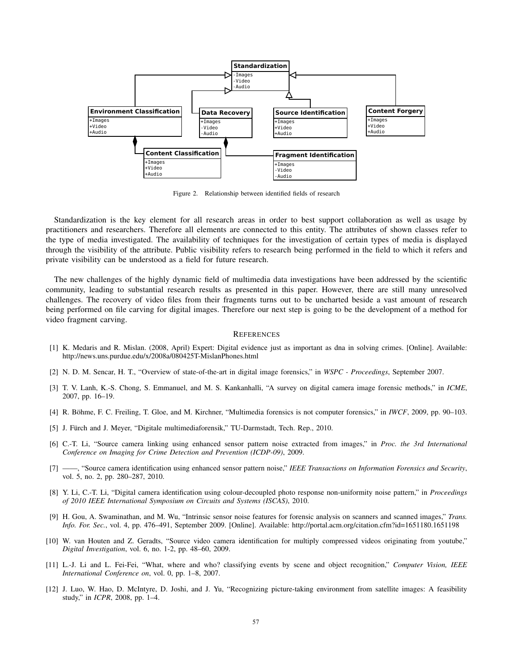

Figure 2. Relationship between identified fields of research

Standardization is the key element for all research areas in order to best support collaboration as well as usage by practitioners and researchers. Therefore all elements are connected to this entity. The attributes of shown classes refer to the type of media investigated. The availability of techniques for the investigation of certain types of media is displayed through the visibility of the attribute. Public visibility refers to research being performed in the field to which it refers and private visibility can be understood as a field for future research.

The new challenges of the highly dynamic field of multimedia data investigations have been addressed by the scientific community, leading to substantial research results as presented in this paper. However, there are still many unresolved challenges. The recovery of video files from their fragments turns out to be uncharted beside a vast amount of research being performed on file carving for digital images. Therefore our next step is going to be the development of a method for video fragment carving.

#### **REFERENCES**

- [1] K. Medaris and R. Mislan. (2008, April) Expert: Digital evidence just as important as dna in solving crimes. [Online]. Available: http://news.uns.purdue.edu/x/2008a/080425T-MislanPhones.html
- [2] N. D. M. Sencar, H. T., "Overview of state-of-the-art in digital image forensics," in *WSPC Proceedings*, September 2007.
- [3] T. V. Lanh, K.-S. Chong, S. Emmanuel, and M. S. Kankanhalli, "A survey on digital camera image forensic methods," in *ICME*, 2007, pp. 16–19.
- [4] R. Böhme, F. C. Freiling, T. Gloe, and M. Kirchner, "Multimedia forensics is not computer forensics," in *IWCF*, 2009, pp. 90–103.
- [5] J. Fürch and J. Meyer, "Digitale multimediaforensik," TU-Darmstadt, Tech. Rep., 2010.
- [6] C.-T. Li, "Source camera linking using enhanced sensor pattern noise extracted from images," in *Proc. the 3rd International Conference on Imaging for Crime Detection and Prevention (ICDP-09)*, 2009.
- [7] ——, "Source camera identification using enhanced sensor pattern noise," *IEEE Transactions on Information Forensics and Security*, vol. 5, no. 2, pp. 280–287, 2010.
- [8] Y. Li, C.-T. Li, "Digital camera identification using colour-decoupled photo response non-uniformity noise pattern," in *Proceedings of 2010 IEEE International Symposium on Circuits and Systems (ISCAS)*, 2010.
- [9] H. Gou, A. Swaminathan, and M. Wu, "Intrinsic sensor noise features for forensic analysis on scanners and scanned images," *Trans. Info. For. Sec.*, vol. 4, pp. 476–491, September 2009. [Online]. Available: http://portal.acm.org/citation.cfm?id=1651180.1651198
- [10] W. van Houten and Z. Geradts, "Source video camera identification for multiply compressed videos originating from youtube," *Digital Investigation*, vol. 6, no. 1-2, pp. 48–60, 2009.
- [11] L.-J. Li and L. Fei-Fei, "What, where and who? classifying events by scene and object recognition," *Computer Vision, IEEE International Conference on*, vol. 0, pp. 1–8, 2007.
- [12] J. Luo, W. Hao, D. McIntyre, D. Joshi, and J. Yu, "Recognizing picture-taking environment from satellite images: A feasibility study," in *ICPR*, 2008, pp. 1–4.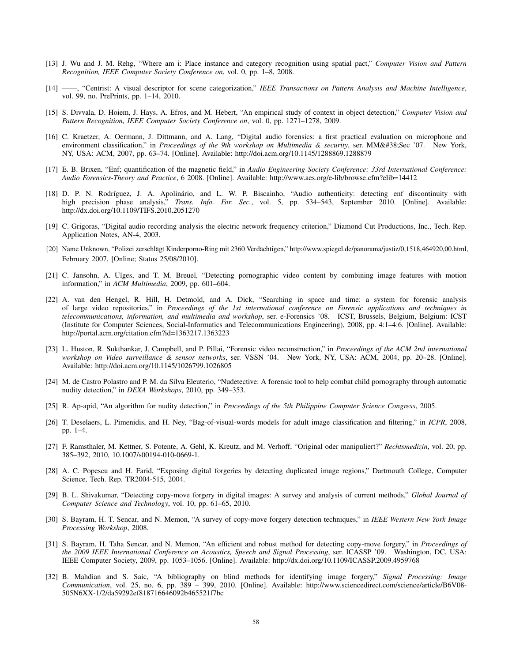- [13] J. Wu and J. M. Rehg, "Where am i: Place instance and category recognition using spatial pact," *Computer Vision and Pattern Recognition, IEEE Computer Society Conference on*, vol. 0, pp. 1–8, 2008.
- [14] ——, "Centrist: A visual descriptor for scene categorization," *IEEE Transactions on Pattern Analysis and Machine Intelligence*, vol. 99, no. PrePrints, pp. 1–14, 2010.
- [15] S. Divvala, D. Hoiem, J. Hays, A. Efros, and M. Hebert, "An empirical study of context in object detection," *Computer Vision and Pattern Recognition, IEEE Computer Society Conference on*, vol. 0, pp. 1271–1278, 2009.
- [16] C. Kraetzer, A. Oermann, J. Dittmann, and A. Lang, "Digital audio forensics: a first practical evaluation on microphone and environment classification," in *Proceedings of the 9th workshop on Multimedia & security*, ser. MM&Sec '07. New York, NY, USA: ACM, 2007, pp. 63–74. [Online]. Available: http://doi.acm.org/10.1145/1288869.1288879
- [17] E. B. Brixen, "Enf; quantification of the magnetic field," in *Audio Engineering Society Conference: 33rd International Conference: Audio Forensics-Theory and Practice*, 6 2008. [Online]. Available: http://www.aes.org/e-lib/browse.cfm?elib=14412
- [18] D. P. N. Rodríguez, J. A. Apolinário, and L. W. P. Biscainho, "Audio authenticity: detecting enf discontinuity with high precision phase analysis," *Trans. Info. For. Sec.*, vol. 5, pp. 534–543, September 2010. [Online]. Available: http://dx.doi.org/10.1109/TIFS.2010.2051270
- [19] C. Grigoras, "Digital audio recording analysis the electric network frequency criterion," Diamond Cut Productions, Inc., Tech. Rep. Application Notes, AN-4, 2003.
- [20] Name Unknown, "Polizei zerschlägt Kinderporno-Ring mit 2360 Verdächtigen," http://www.spiegel.de/panorama/justiz/0,1518,464920,00.html, February 2007, [Online; Status 25/08/2010].
- [21] C. Jansohn, A. Ulges, and T. M. Breuel, "Detecting pornographic video content by combining image features with motion information," in *ACM Multimedia*, 2009, pp. 601–604.
- [22] A. van den Hengel, R. Hill, H. Detmold, and A. Dick, "Searching in space and time: a system for forensic analysis of large video repositories," in *Proceedings of the 1st international conference on Forensic applications and techniques in telecommunications, information, and multimedia and workshop*, ser. e-Forensics '08. ICST, Brussels, Belgium, Belgium: ICST (Institute for Computer Sciences, Social-Informatics and Telecommunications Engineering), 2008, pp. 4:1–4:6. [Online]. Available: http://portal.acm.org/citation.cfm?id=1363217.1363223
- [23] L. Huston, R. Sukthankar, J. Campbell, and P. Pillai, "Forensic video reconstruction," in *Proceedings of the ACM 2nd international workshop on Video surveillance & sensor networks*, ser. VSSN '04. New York, NY, USA: ACM, 2004, pp. 20–28. [Online]. Available: http://doi.acm.org/10.1145/1026799.1026805
- [24] M. de Castro Polastro and P. M. da Silva Eleuterio, "Nudetective: A forensic tool to help combat child pornography through automatic nudity detection," in *DEXA Workshops*, 2010, pp. 349–353.
- [25] R. Ap-apid, "An algorithm for nudity detection," in *Proceedings of the 5th Philippine Computer Science Congress*, 2005.
- [26] T. Deselaers, L. Pimenidis, and H. Ney, "Bag-of-visual-words models for adult image classification and filtering," in *ICPR*, 2008, pp. 1–4.
- [27] F. Ramsthaler, M. Kettner, S. Potente, A. Gehl, K. Kreutz, and M. Verhoff, "Original oder manipuliert?" *Rechtsmedizin*, vol. 20, pp. 385–392, 2010, 10.1007/s00194-010-0669-1.
- [28] A. C. Popescu and H. Farid, "Exposing digital forgeries by detecting duplicated image regions," Dartmouth College, Computer Science, Tech. Rep. TR2004-515, 2004.
- [29] B. L. Shivakumar, "Detecting copy-move forgery in digital images: A survey and analysis of current methods," *Global Journal of Computer Science and Technology*, vol. 10, pp. 61–65, 2010.
- [30] S. Bayram, H. T. Sencar, and N. Memon, "A survey of copy-move forgery detection techniques," in *IEEE Western New York Image Processing Workshop*, 2008.
- [31] S. Bayram, H. Taha Sencar, and N. Memon, "An efficient and robust method for detecting copy-move forgery," in *Proceedings of the 2009 IEEE International Conference on Acoustics, Speech and Signal Processing*, ser. ICASSP '09. Washington, DC, USA: IEEE Computer Society, 2009, pp. 1053–1056. [Online]. Available: http://dx.doi.org/10.1109/ICASSP.2009.4959768
- [32] B. Mahdian and S. Saic, "A bibliography on blind methods for identifying image forgery," *Signal Processing: Image Communication*, vol. 25, no. 6, pp. 389 – 399, 2010. [Online]. Available: http://www.sciencedirect.com/science/article/B6V08- 505N6XX-1/2/da59292ef818716646092b465521f7bc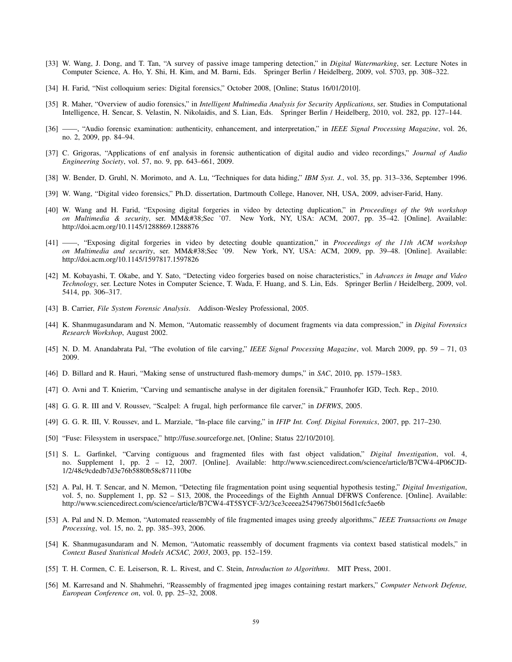- [33] W. Wang, J. Dong, and T. Tan, "A survey of passive image tampering detection," in *Digital Watermarking*, ser. Lecture Notes in Computer Science, A. Ho, Y. Shi, H. Kim, and M. Barni, Eds. Springer Berlin / Heidelberg, 2009, vol. 5703, pp. 308–322.
- [34] H. Farid, "Nist colloquium series: Digital forensics," October 2008, [Online; Status 16/01/2010].
- [35] R. Maher, "Overview of audio forensics," in *Intelligent Multimedia Analysis for Security Applications*, ser. Studies in Computational Intelligence, H. Sencar, S. Velastin, N. Nikolaidis, and S. Lian, Eds. Springer Berlin / Heidelberg, 2010, vol. 282, pp. 127–144.
- [36] ——, "Audio forensic examination: authenticity, enhancement, and interpretation," in *IEEE Signal Processing Magazine*, vol. 26, no. 2, 2009, pp. 84–94.
- [37] C. Grigoras, "Applications of enf analysis in forensic authentication of digital audio and video recordings," *Journal of Audio Engineering Society*, vol. 57, no. 9, pp. 643–661, 2009.
- [38] W. Bender, D. Gruhl, N. Morimoto, and A. Lu, "Techniques for data hiding," *IBM Syst. J.*, vol. 35, pp. 313–336, September 1996.
- [39] W. Wang, "Digital video forensics," Ph.D. dissertation, Dartmouth College, Hanover, NH, USA, 2009, adviser-Farid, Hany.
- [40] W. Wang and H. Farid, "Exposing digital forgeries in video by detecting duplication," in *Proceedings of the 9th workshop on Multimedia & security*, ser. MM&Sec '07. New York, NY, USA: ACM, 2007, pp. 35-42. [Online]. Available: http://doi.acm.org/10.1145/1288869.1288876
- [41] ——, "Exposing digital forgeries in video by detecting double quantization," in *Proceedings of the 11th ACM workshop on Multimedia and security*, ser. MM&Sec '09. New York, NY, USA: ACM, 2009, pp. 39–48. [Online]. Available: http://doi.acm.org/10.1145/1597817.1597826
- [42] M. Kobayashi, T. Okabe, and Y. Sato, "Detecting video forgeries based on noise characteristics," in *Advances in Image and Video Technology*, ser. Lecture Notes in Computer Science, T. Wada, F. Huang, and S. Lin, Eds. Springer Berlin / Heidelberg, 2009, vol. 5414, pp. 306–317.
- [43] B. Carrier, *File System Forensic Analysis*. Addison-Wesley Professional, 2005.
- [44] K. Shanmugasundaram and N. Memon, "Automatic reassembly of document fragments via data compression," in *Digital Forensics Research Workshop*, August 2002.
- [45] N. D. M. Anandabrata Pal, "The evolution of file carving," *IEEE Signal Processing Magazine*, vol. March 2009, pp. 59 71, 03 2009.
- [46] D. Billard and R. Hauri, "Making sense of unstructured flash-memory dumps," in *SAC*, 2010, pp. 1579–1583.
- [47] O. Avni and T. Knierim, "Carving und semantische analyse in der digitalen forensik," Fraunhofer IGD, Tech. Rep., 2010.
- [48] G. G. R. III and V. Roussev, "Scalpel: A frugal, high performance file carver," in *DFRWS*, 2005.
- [49] G. G. R. III, V. Roussev, and L. Marziale, "In-place file carving," in *IFIP Int. Conf. Digital Forensics*, 2007, pp. 217–230.
- [50] "Fuse: Filesystem in userspace," http://fuse.sourceforge.net, [Online; Status 22/10/2010].
- [51] S. L. Garfinkel, "Carving contiguous and fragmented files with fast object validation," *Digital Investigation*, vol. 4, no. Supplement 1, pp. 2 – 12, 2007. [Online]. Available: http://www.sciencedirect.com/science/article/B7CW4-4P06CJD-1/2/48c9cdedb7d3e76b5880b58c871110be
- [52] A. Pal, H. T. Sencar, and N. Memon, "Detecting file fragmentation point using sequential hypothesis testing," *Digital Investigation*, vol. 5, no. Supplement 1, pp. S2 – S13, 2008, the Proceedings of the Eighth Annual DFRWS Conference. [Online]. Available: http://www.sciencedirect.com/science/article/B7CW4-4T5SYCF-3/2/3ce3ceeea25479675b0156d1cfc5ae6b
- [53] A. Pal and N. D. Memon, "Automated reassembly of file fragmented images using greedy algorithms," *IEEE Transactions on Image Processing*, vol. 15, no. 2, pp. 385–393, 2006.
- [54] K. Shanmugasundaram and N. Memon, "Automatic reassembly of document fragments via context based statistical models," in *Context Based Statistical Models ACSAC, 2003*, 2003, pp. 152–159.
- [55] T. H. Cormen, C. E. Leiserson, R. L. Rivest, and C. Stein, *Introduction to Algorithms*. MIT Press, 2001.
- [56] M. Karresand and N. Shahmehri, "Reassembly of fragmented jpeg images containing restart markers," *Computer Network Defense, European Conference on*, vol. 0, pp. 25–32, 2008.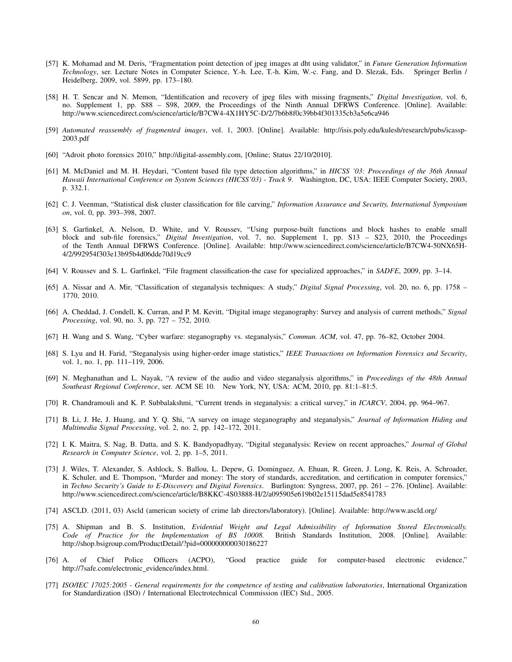- [57] K. Mohamad and M. Deris, "Fragmentation point detection of jpeg images at dht using validator," in *Future Generation Information Technology*, ser. Lecture Notes in Computer Science, Y.-h. Lee, T.-h. Kim, W.-c. Fang, and D. Slezak, Eds. Springer Berlin / Heidelberg, 2009, vol. 5899, pp. 173–180.
- [58] H. T. Sencar and N. Memon, "Identification and recovery of jpeg files with missing fragments," *Digital Investigation*, vol. 6, no. Supplement 1, pp. S88 – S98, 2009, the Proceedings of the Ninth Annual DFRWS Conference. [Online]. Available: http://www.sciencedirect.com/science/article/B7CW4-4X1HY5C-D/2/7b6b8f0c39bb4f301335cb3a5e6ca946
- [59] *Automated reassembly of fragmented images*, vol. 1, 2003. [Online]. Available: http://isis.poly.edu/kulesh/research/pubs/icassp-2003.pdf
- [60] "Adroit photo forensics 2010," http://digital-assembly.com, [Online; Status 22/10/2010].
- [61] M. McDaniel and M. H. Heydari, "Content based file type detection algorithms," in *HICSS '03: Proceedings of the 36th Annual Hawaii International Conference on System Sciences (HICSS'03) - Track 9*. Washington, DC, USA: IEEE Computer Society, 2003, p. 332.1.
- [62] C. J. Veenman, "Statistical disk cluster classification for file carving," *Information Assurance and Security, International Symposium on*, vol. 0, pp. 393–398, 2007.
- [63] S. Garfinkel, A. Nelson, D. White, and V. Roussev, "Using purpose-built functions and block hashes to enable small block and sub-file forensics," *Digital Investigation*, vol. 7, no. Supplement 1, pp. S13 – S23, 2010, the Proceedings of the Tenth Annual DFRWS Conference. [Online]. Available: http://www.sciencedirect.com/science/article/B7CW4-50NX65H-4/2/992954f303e13b95b4d06dde70d19cc9
- [64] V. Roussev and S. L. Garfinkel, "File fragment classification-the case for specialized approaches," in *SADFE*, 2009, pp. 3–14.
- [65] A. Nissar and A. Mir, "Classification of steganalysis techniques: A study," *Digital Signal Processing*, vol. 20, no. 6, pp. 1758 1770, 2010.
- [66] A. Cheddad, J. Condell, K. Curran, and P. M. Kevitt, "Digital image steganography: Survey and analysis of current methods," *Signal Processing*, vol. 90, no. 3, pp. 727 – 752, 2010.
- [67] H. Wang and S. Wang, "Cyber warfare: steganography vs. steganalysis," *Commun. ACM*, vol. 47, pp. 76–82, October 2004.
- [68] S. Lyu and H. Farid, "Steganalysis using higher-order image statistics," *IEEE Transactions on Information Forensics and Security*, vol. 1, no. 1, pp. 111–119, 2006.
- [69] N. Meghanathan and L. Nayak, "A review of the audio and video steganalysis algorithms," in *Proceedings of the 48th Annual Southeast Regional Conference*, ser. ACM SE 10. New York, NY, USA: ACM, 2010, pp. 81:1–81:5.
- [70] R. Chandramouli and K. P. Subbalakshmi, "Current trends in steganalysis: a critical survey," in *ICARCV*, 2004, pp. 964–967.
- [71] B. Li, J. He, J. Huang, and Y. Q. Shi, "A survey on image steganography and steganalysis," *Journal of Information Hiding and Multimedia Signal Processing*, vol. 2, no. 2, pp. 142–172, 2011.
- [72] I. K. Maitra, S. Nag, B. Datta, and S. K. Bandyopadhyay, "Digital steganalysis: Review on recent approaches," *Journal of Global Research in Computer Science*, vol. 2, pp. 1–5, 2011.
- [73] J. Wiles, T. Alexander, S. Ashlock, S. Ballou, L. Depew, G. Dominguez, A. Ehuan, R. Green, J. Long, K. Reis, A. Schroader, K. Schuler, and E. Thompson, "Murder and money: The story of standards, accreditation, and certification in computer forensics," in *Techno Security's Guide to E-Discovery and Digital Forensics*. Burlington: Syngress, 2007, pp. 261 – 276. [Online]. Available: http://www.sciencedirect.com/science/article/B8KKC-4S03888-H/2/a095905e619b02e15115dad5e8541783
- [74] ASCLD. (2011, 03) Ascld (american society of crime lab directors/laboratory). [Online]. Available: http://www.ascld.org/
- [75] A. Shipman and B. S. Institution, *Evidential Weight and Legal Admissibility of Information Stored Electronically. Code of Practice for the Implementation of BS 10008.* British Standards Institution, 2008. [Online]. Available: http://shop.bsigroup.com/ProductDetail/?pid=000000000030186227
- [76] A. of Chief Police Officers (ACPO), "Good practice guide for computer-based electronic evidence," http://7safe.com/electronic\_evidence/index.html.
- [77] *ISO/IEC 17025:2005 General requirements for the competence of testing and calibration laboratories*, International Organization for Standardization (ISO) / International Electrotechnical Commission (IEC) Std., 2005.